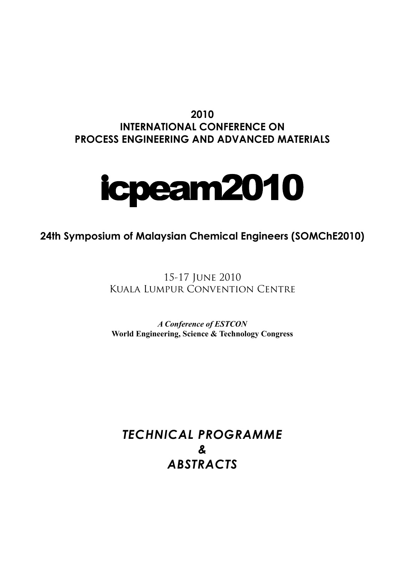# **2010 International Conference on pROCESS ENGINEERING AND aDVANCED mATERIALS**



# **24th Symposium of Malaysian Chemical Engineers (SOMChE2010)**

15-17 June 2010 Kuala Lumpur Convention Centre

*A Conference of ESTCON* **World Engineering, Science & Technology Congress**

*TECHNICAL PROGRAMME & Abstracts*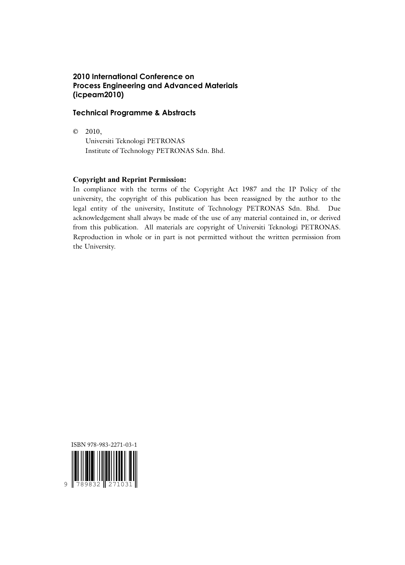## **2010 International Conference on Process Engineering and Advanced Materials (icpeam2010)**

### **Technical Programme & Abstracts**

© 2010,

 Universiti Teknologi PETRONAS Institute of Technology PETRONAS Sdn. Bhd.

## **Copyright and Reprint Permission:**

In compliance with the terms of the Copyright Act 1987 and the IP Policy of the university, the copyright of this publication has been reassigned by the author to the legal entity of the university, Institute of Technology PETRONAS Sdn. Bhd. Due acknowledgement shall always be made of the use of any material contained in, or derived from this publication. All materials are copyright of Universiti Teknologi PETRONAS. Reproduction in whole or in part is not permitted without the written permission from the University.